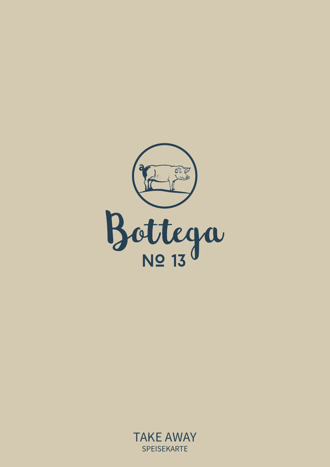

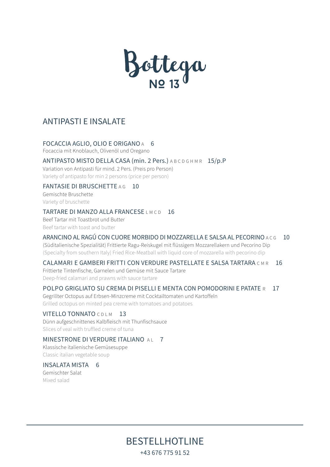

# ANTIPASTI E INSALATE

#### FOCACCIA AGLIO, OLIO E ORIGANO A 6

Focaccia mit Knoblauch, Olivenöl und Oregano

#### ANTIPASTO MISTO DELLA CASA (min. 2 Pers.) A B C D G H M R 15/p.P

Variation von Antipasti für mind. 2 Pers. (Preis pro Person) Variety of antipasto for min 2 persons (price per person)

# FANTASIE DI BRUSCHETTE A G 10

Gemischte Bruschette Variety of bruschette

#### TARTARE DI MANZO ALLA FRANCESE LMCD 16

Beef Tartar mit Toastbrot und Butter Beef tartar with toast and butter

# ARANCINO AL RAGÚ CON CUORE MORBIDO DI MOZZARELLA E SALSA AL PECORINO A C G 10

(Süditalienische Spezialität) Frittierte Ragu-Reiskugel mit flüssigem Mozzarellakern und Pecorino Dip (Specialty from southern Italy) Fried Rice-Meatball with liquid core of mozzarella with pecorino dip

# CALAMARI E GAMBERI FRITTI CON VERDURE PASTELLATE E SALSA TARTARA CMR 16

Frittierte Tintenfische, Garnelen und Gemüse mit Sauce Tartare Deep-fried calamari and prawns with sauce tartare

# POLPO GRIGLIATO SU CREMA DI PISELLI E MENTA CON POMODORINI E PATATE R 17

Gegrillter Octopus auf Erbsen-Minzcreme mit Cocktailtomaten und Kartoffeln Grilled octopus on minted pea creme with tomatoes and potatoes

# VITELLO TONNATO C D L M 13

Dünn aufgeschnittenes Kalbfleisch mit Thunfischsauce Slices of veal with truffled creme of tuna

# MINESTRONE DI VERDURE ITALIANO AL 7

Klassische italienische Gemüsesuppe Classic italian vegetable soup

#### INSALATA MISTA 6

Gemischter Salat Mixed salad

> BESTELLHOTLINE +43 676 775 91 52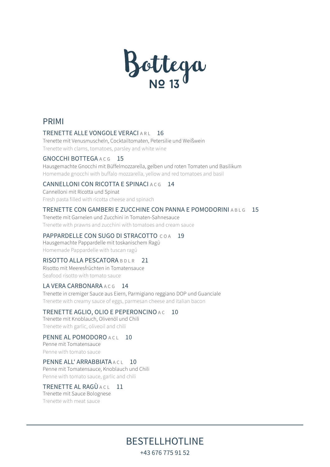

# PRIMI

#### TRENETTE ALLE VONGOLE VERACIARL 16

Trenette mit Venusmuscheln, Cocktailtomaten, Petersilie und Weißwein Trenette with clams, tomatoes, parsley and white wine

#### GNOCCHI BOTTEGA A C G 15

Hausgemachte Gnocchi mit Büffelmozzarella, gelben und roten Tomaten und Basilikum Homemade gnocchi with buffalo mozzarella, yellow and red tomatoes and basil

#### CANNELLONI CON RICOTTA E SPINACI ACG 14

Cannelloni mit Ricotta und Spinat Fresh pasta filled with ricotta cheese and spinach

#### TRENETTE CON GAMBERI E ZUCCHINE CON PANNA E POMODORINI A B L G 15

Trenette mit Garnelen und Zucchini in Tomaten-Sahnesauce Trenette with prawns and zucchini with tomatoes and cream sauce

#### PAPPARDELLE CON SUGO DI STRACOTTO COA 19

Hausgemachte Pappardelle mit toskanischem RagÚ Homemade Pappardelle with tuscan ragÚ

#### RISOTTO ALLA PESCATORA BDLR 21

Risotto mit Meeresfrüchten in Tomatensauce Seafood risotto with tomato sauce

#### LA VERA CARBONARA A C G 14

Trenette in cremiger Sauce aus Eiern, Parmigiano reggiano DOP und Guanciale Trenette with creamy sauce of eggs, parmesan cheese and italian bacon

# TRENETTE AGLIO, OLIO E PEPERONCINO A C 10

Trenette mit Knoblauch, Olivenöl und Chili Trenette with garlic, oliveoil and chili

#### PENNE AL POMODORO ACT 10 Penne mit Tomatensauce

Penne with tomato sauce

# PENNE ALL' ARRABBIATA A CL 10

Penne mit Tomatensauce, Knoblauch und Chili Penne with tomato sauce, garlic and chili

# TRENETTE AL RAGÙ A CL<sup>11</sup>

Trenette mit Sauce Bolognese Trenette with meat sauce

> BESTELLHOTLINE +43 676 775 91 52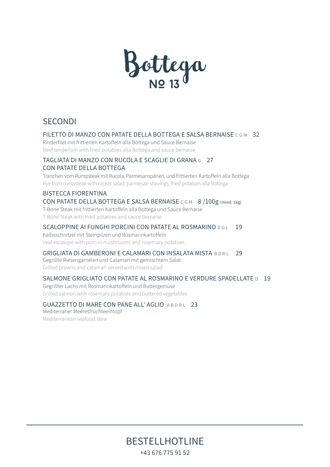

# **SECONDI**

# FILETTO DI MANZO CON PATATE DELLA BOTTEGA E SALSA BERNAISE C G M 32

Rinderfilet mit frittierten Kartoffeln alla Bottega und Sauce Bernaise Beef tenderloin with fried potatoes alla Bottega and sauce bernaise

# TAGLIATA DI MANZO CON RUCOLA E SCAGLIE DI GRANA G 27 CON PATATE DELLA BOTTEGA

Tranchen vom Rumpsteak mit Rucola, Parmesanspänen, und frittierten Kartoffeln alla Bottega Rye from rumpsteak with rocket salad, parmesan shavings, fried potatoes alla Bottega

# BISTECCA FIORENTINA CON PATATE DELLA BOTTEGA E SALSA BERNAISE C G M 8 / 100g (mind. 1kg) T-Bone Steak mit frittierten Kartoffeln alla Bottega und Sauce Bernaise

T-Bone Steak with fried potatoes and sauce bernaise

# SCALOPPINE AI FUNGHI PORCINI CON PATATE AL ROSMARINO D GL 19

Kalbsschnitzel mit Steinpilzen und Rosmarinkartoffeln Veal escalope with porcini mushrooms and rosemary potatoes

# GRIGLIATA DI GAMBERONI E CALAMARI CON INSALATA MISTA BDRL 29

Gegrillte Riesengarnelen und Calamari mit gemischtem Salat Grilled prawns and calamari served with mixed salad

# SALMONE GRIGLIATO CON PATATE AL ROSMARINO E VERDURE SPADELLATE **D** 19

Gegrillter Lachs mit Rosmarinkartoffeln und Buttergemüse Grilled salmon with rosemary potatoes and buttered vegetables

# GUAZZETTO DI MARE CON PANE ALL' AGLIO ABDRL 23

Mediterraner Meeresfrüchteeintopf Mediterranean seafood stew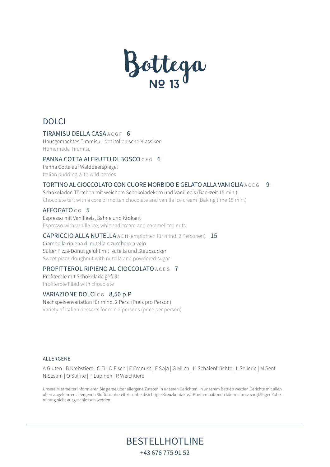

# DOLCI

#### TIRAMISU DELLA CASA A C G F 6

Hausgemachtes Tiramisu - der italienische Klassiker Homemade Tiramisu

#### PANNA COTTA AI FRUTTI DI BOSCO CEG 6

Panna Cotta auf Waldbeerspiegel Italian pudding with wild berries

#### TORTINO AL CIOCCOLATO CON CUORE MORBIDO E GELATO ALLA VANIGLIA A C E G 9

Schokoladen Törtchen mit weichem Schokoladekern und Vanilleeis (Backzeit 15 min.) Chocolate tart with a core of molten chocolate and vanilla ice cream (Baking time 15 min.)

#### AFFOGATO CG<sub>5</sub>

Espresso mit Vanilleeis, Sahne und Krokant Espresso with vanilla ice, whipped cream and caramelized nuts

#### CAPRICCIO ALLA NUTELLA A E H (empfohlen für mind. 2 Personen) 15

Ciambella ripiena di nutella e zucchero a velo Süßer Pizza-Donut gefüllt mit Nutella und Staubzucker Sweet pizza-doughnut with nutella and powdered sugar

# PROFITTEROL RIPIENO AL CIOCCOLATO A C E G 7

Profiterole mit Schokolade gefüllt Profiterole filled with chocolate

# VARIAZIONE DOLCICG 8,50 p.P

Nachspeisenvariation für mind. 2 Pers. (Preis pro Person) Variety of italian desserts for min 2 persons (price per person)

#### **ALLERGENE**

A Gluten | B Krebstiere | C Ei | D Fisch | E Erdnuss | F Soja | G Milch | H Schalenfrüchte | L Sellerie | M Senf N Sesam | O Sulfite | P Lupinen | R Weichtiere

Unsere Mitarbeiter informieren Sie gerne über allergene Zutaten in unseren Gerichten. In unserem Betrieb werden Gerichte mit allen oben angeführten allergenen Stoffen zubereitet - unbeabsichtigte Kreuzkontakte/- Kontaminationen können trotz sorgfältiger Zubereitung nicht ausgeschlossen werden.

BESTELLHOTLINE

+43 676 775 91 52